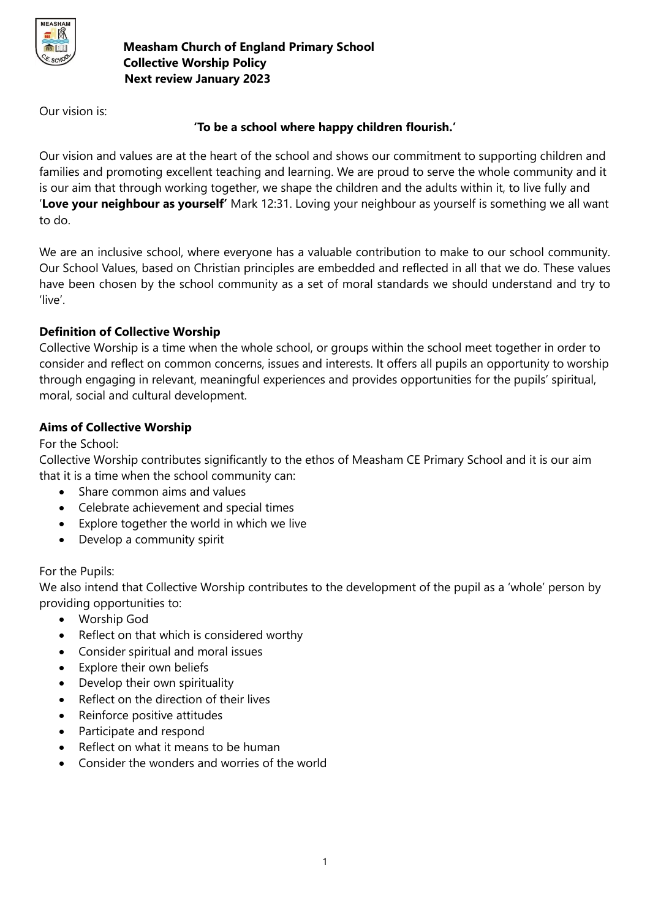

Our vision is:

# **'To be a school where happy children flourish.'**

Our vision and values are at the heart of the school and shows our commitment to supporting children and families and promoting excellent teaching and learning. We are proud to serve the whole community and it is our aim that through working together, we shape the children and the adults within it, to live fully and '**Love your neighbour as yourself'** Mark 12:31. Loving your neighbour as yourself is something we all want to do.

We are an inclusive school, where everyone has a valuable contribution to make to our school community. Our School Values, based on Christian principles are embedded and reflected in all that we do. These values have been chosen by the school community as a set of moral standards we should understand and try to 'live'.

# **Definition of Collective Worship**

Collective Worship is a time when the whole school, or groups within the school meet together in order to consider and reflect on common concerns, issues and interests. It offers all pupils an opportunity to worship through engaging in relevant, meaningful experiences and provides opportunities for the pupils' spiritual, moral, social and cultural development.

# **Aims of Collective Worship**

For the School:

Collective Worship contributes significantly to the ethos of Measham CE Primary School and it is our aim that it is a time when the school community can:

- Share common aims and values
- Celebrate achievement and special times
- Explore together the world in which we live
- Develop a community spirit

## For the Pupils:

We also intend that Collective Worship contributes to the development of the pupil as a 'whole' person by providing opportunities to:

- Worship God
- Reflect on that which is considered worthy
- Consider spiritual and moral issues
- Explore their own beliefs
- Develop their own spirituality
- Reflect on the direction of their lives
- Reinforce positive attitudes
- Participate and respond
- Reflect on what it means to be human
- Consider the wonders and worries of the world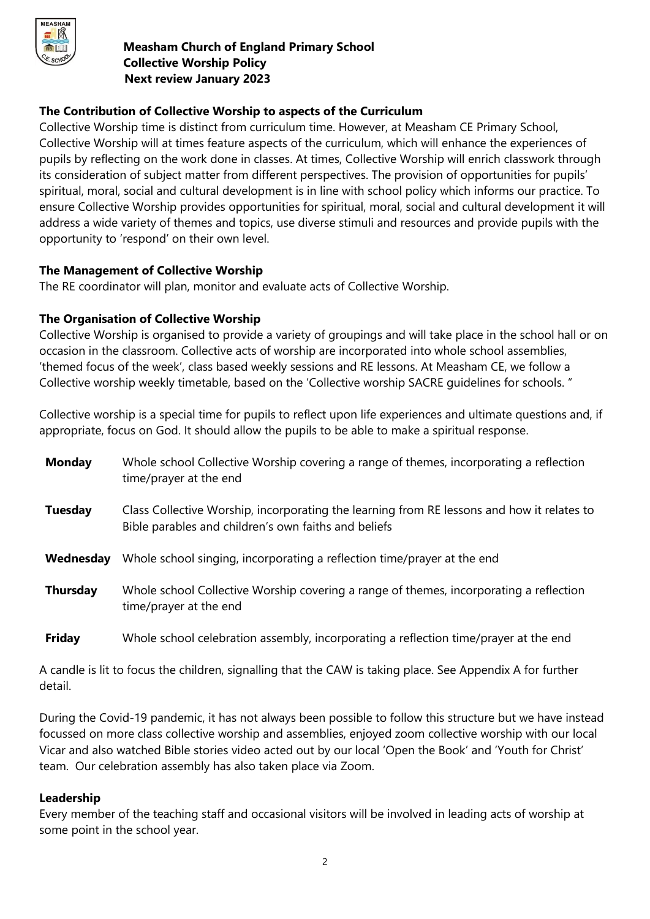

# **The Contribution of Collective Worship to aspects of the Curriculum**

Collective Worship time is distinct from curriculum time. However, at Measham CE Primary School, Collective Worship will at times feature aspects of the curriculum, which will enhance the experiences of pupils by reflecting on the work done in classes. At times, Collective Worship will enrich classwork through its consideration of subject matter from different perspectives. The provision of opportunities for pupils' spiritual, moral, social and cultural development is in line with school policy which informs our practice. To ensure Collective Worship provides opportunities for spiritual, moral, social and cultural development it will address a wide variety of themes and topics, use diverse stimuli and resources and provide pupils with the opportunity to 'respond' on their own level.

## **The Management of Collective Worship**

The RE coordinator will plan, monitor and evaluate acts of Collective Worship.

# **The Organisation of Collective Worship**

Collective Worship is organised to provide a variety of groupings and will take place in the school hall or on occasion in the classroom. Collective acts of worship are incorporated into whole school assemblies, 'themed focus of the week', class based weekly sessions and RE lessons. At Measham CE, we follow a Collective worship weekly timetable, based on the 'Collective worship SACRE guidelines for schools. "

Collective worship is a special time for pupils to reflect upon life experiences and ultimate questions and, if appropriate, focus on God. It should allow the pupils to be able to make a spiritual response.

| <b>Monday</b>   | Whole school Collective Worship covering a range of themes, incorporating a reflection<br>time/prayer at the end                                   |
|-----------------|----------------------------------------------------------------------------------------------------------------------------------------------------|
| Tuesday         | Class Collective Worship, incorporating the learning from RE lessons and how it relates to<br>Bible parables and children's own faiths and beliefs |
| Wednesday       | Whole school singing, incorporating a reflection time/prayer at the end                                                                            |
| <b>Thursday</b> | Whole school Collective Worship covering a range of themes, incorporating a reflection<br>time/prayer at the end                                   |
| <b>Friday</b>   | Whole school celebration assembly, incorporating a reflection time/prayer at the end                                                               |

A candle is lit to focus the children, signalling that the CAW is taking place. See Appendix A for further detail.

During the Covid-19 pandemic, it has not always been possible to follow this structure but we have instead focussed on more class collective worship and assemblies, enjoyed zoom collective worship with our local Vicar and also watched Bible stories video acted out by our local 'Open the Book' and 'Youth for Christ' team. Our celebration assembly has also taken place via Zoom.

## **Leadership**

Every member of the teaching staff and occasional visitors will be involved in leading acts of worship at some point in the school year.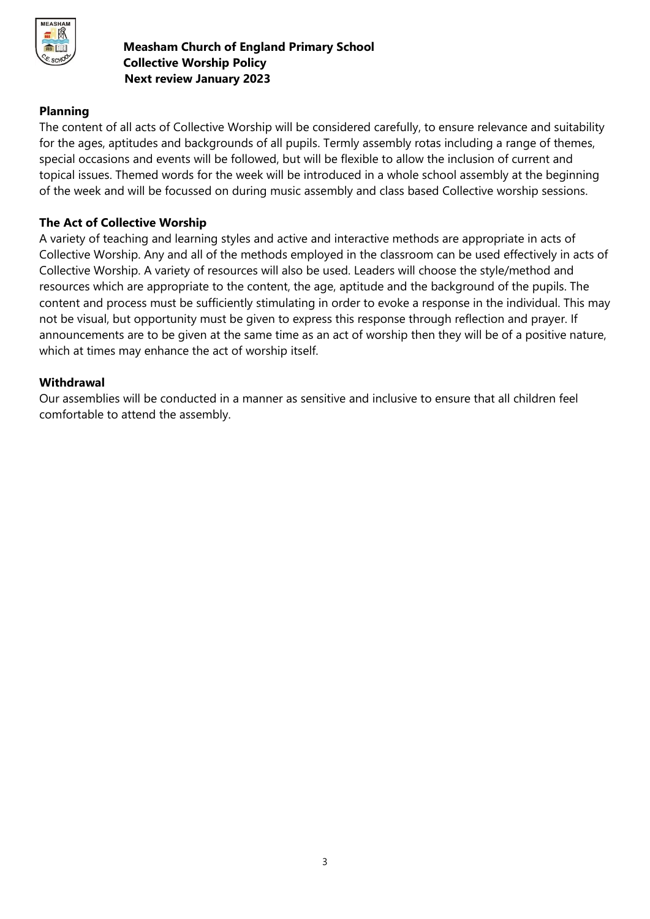

## **Planning**

The content of all acts of Collective Worship will be considered carefully, to ensure relevance and suitability for the ages, aptitudes and backgrounds of all pupils. Termly assembly rotas including a range of themes, special occasions and events will be followed, but will be flexible to allow the inclusion of current and topical issues. Themed words for the week will be introduced in a whole school assembly at the beginning of the week and will be focussed on during music assembly and class based Collective worship sessions.

#### **The Act of Collective Worship**

A variety of teaching and learning styles and active and interactive methods are appropriate in acts of Collective Worship. Any and all of the methods employed in the classroom can be used effectively in acts of Collective Worship. A variety of resources will also be used. Leaders will choose the style/method and resources which are appropriate to the content, the age, aptitude and the background of the pupils. The content and process must be sufficiently stimulating in order to evoke a response in the individual. This may not be visual, but opportunity must be given to express this response through reflection and prayer. If announcements are to be given at the same time as an act of worship then they will be of a positive nature, which at times may enhance the act of worship itself.

#### **Withdrawal**

Our assemblies will be conducted in a manner as sensitive and inclusive to ensure that all children feel comfortable to attend the assembly.